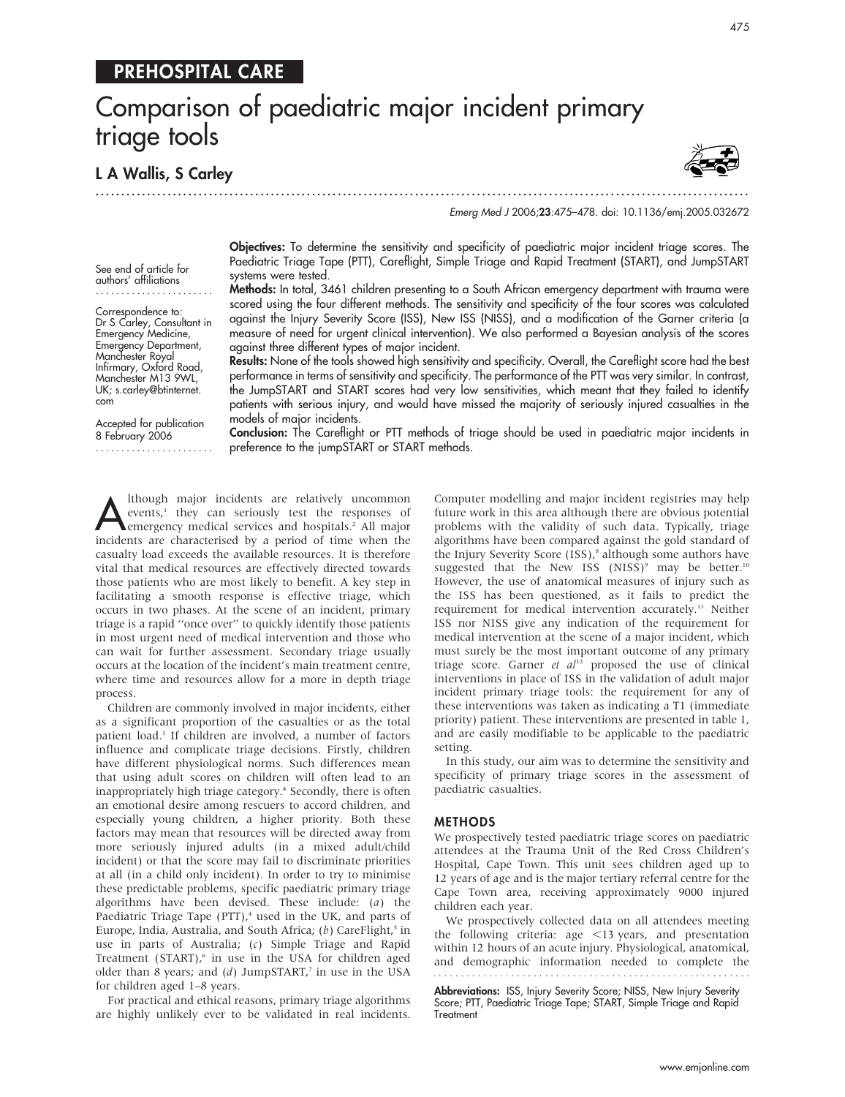# PREHOSPITAL CARE

# Comparison of paediatric major incident primary triage tools

............................................................... ............................................................... .

L A Wallis, S Carley



475

Emerg Med J 2006;23:475–478. doi: 10.1136/emj.2005.032672

See end of article for authors' affiliations .......................

Correspondence to: Dr S Carley, Consultant in Emergency Medicine, Emergency Department, Manchester Royal Infirmary, Oxford Road, Manchester M13 9WL, UK; s.carley@btinternet. com

Accepted for publication 8 February 2006 ....................... Objectives: To determine the sensitivity and specificity of paediatric major incident triage scores. The Paediatric Triage Tape (PTT), Careflight, Simple Triage and Rapid Treatment (START), and JumpSTART systems were tested.

Methods: In total, 3461 children presenting to a South African emergency department with trauma were scored using the four different methods. The sensitivity and specificity of the four scores was calculated against the Injury Severity Score (ISS), New ISS (NISS), and a modification of the Garner criteria (a measure of need for urgent clinical intervention). We also performed a Bayesian analysis of the scores against three different types of major incident.

Results: None of the tools showed high sensitivity and specificity. Overall, the Careflight score had the best performance in terms of sensitivity and specificity. The performance of the PTT was very similar. In contrast, the JumpSTART and START scores had very low sensitivities, which meant that they failed to identify patients with serious injury, and would have missed the majority of seriously injured casualties in the models of major incidents.

Conclusion: The Careflight or PTT methods of triage should be used in paediatric major incidents in preference to the jumpSTART or START methods.

Although major incidents are relatively uncommon<br>events,<sup>1</sup> they can seriously test the responses of<br>emergency medical services and hospitals.<sup>2</sup> All major<br>incidents are characterized by a period of time when the events,<sup>1</sup> they can seriously test the responses of emergency medical services and hospitals.<sup>2</sup> All major incidents are characterised by a period of time when the casualty load exceeds the available resources. It is therefore vital that medical resources are effectively directed towards those patients who are most likely to benefit. A key step in facilitating a smooth response is effective triage, which occurs in two phases. At the scene of an incident, primary triage is a rapid ''once over'' to quickly identify those patients in most urgent need of medical intervention and those who can wait for further assessment. Secondary triage usually occurs at the location of the incident's main treatment centre, where time and resources allow for a more in depth triage process.

Children are commonly involved in major incidents, either as a significant proportion of the casualties or as the total patient load.3 If children are involved, a number of factors influence and complicate triage decisions. Firstly, children have different physiological norms. Such differences mean that using adult scores on children will often lead to an inappropriately high triage category.<sup>4</sup> Secondly, there is often an emotional desire among rescuers to accord children, and especially young children, a higher priority. Both these factors may mean that resources will be directed away from more seriously injured adults (in a mixed adult/child incident) or that the score may fail to discriminate priorities at all (in a child only incident). In order to try to minimise these predictable problems, specific paediatric primary triage algorithms have been devised. These include: (a) the Paediatric Triage Tape  $(PTT)$ ,<sup>4</sup> used in the UK, and parts of Europe, India, Australia, and South Africa;  $(b)$  CareFlight,<sup>5</sup> in use in parts of Australia; (c) Simple Triage and Rapid Treatment (START),<sup>6</sup> in use in the USA for children aged older than 8 years; and  $(d)$  JumpSTART,<sup>7</sup> in use in the USA for children aged 1–8 years.

For practical and ethical reasons, primary triage algorithms are highly unlikely ever to be validated in real incidents. Computer modelling and major incident registries may help future work in this area although there are obvious potential problems with the validity of such data. Typically, triage algorithms have been compared against the gold standard of the Injury Severity Score (ISS),<sup>8</sup> although some authors have suggested that the New ISS (NISS)<sup>9</sup> may be better.<sup>10</sup> However, the use of anatomical measures of injury such as the ISS has been questioned, as it fails to predict the requirement for medical intervention accurately.<sup>11</sup> Neither ISS nor NISS give any indication of the requirement for medical intervention at the scene of a major incident, which must surely be the most important outcome of any primary triage score. Garner et  $al^{12}$  proposed the use of clinical interventions in place of ISS in the validation of adult major incident primary triage tools: the requirement for any of these interventions was taken as indicating a T1 (immediate priority) patient. These interventions are presented in table 1, and are easily modifiable to be applicable to the paediatric setting.

In this study, our aim was to determine the sensitivity and specificity of primary triage scores in the assessment of paediatric casualties.

# METHODS

We prospectively tested paediatric triage scores on paediatric attendees at the Trauma Unit of the Red Cross Children's Hospital, Cape Town. This unit sees children aged up to 12 years of age and is the major tertiary referral centre for the Cape Town area, receiving approximately 9000 injured children each year.

We prospectively collected data on all attendees meeting the following criteria: age  $\leq$ 13 years, and presentation within 12 hours of an acute injury. Physiological, anatomical, and demographic information needed to complete the 

Abbreviations: ISS, Injury Severity Score; NISS, New Injury Severity Score; PTT, Paediatric Triage Tape; START, Simple Triage and Rapid **Treatment**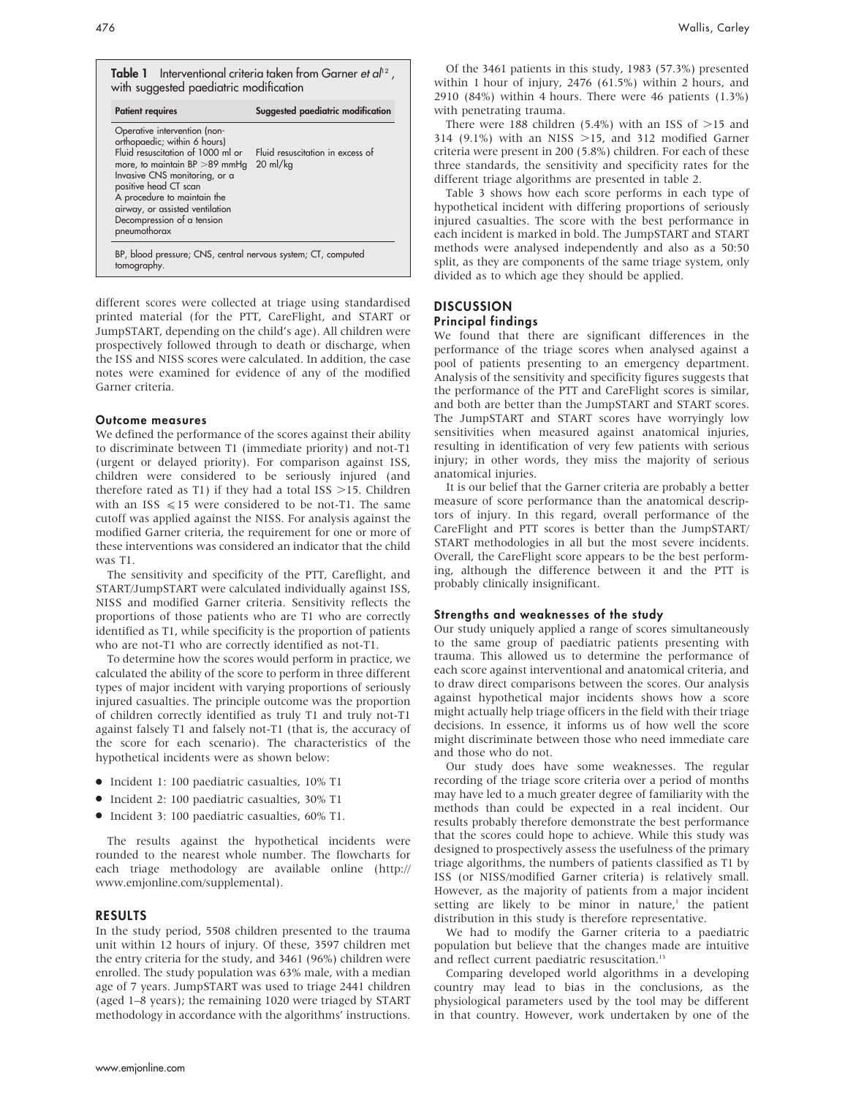Table 1 Interventional criteria taken from Garner et  $a^{h2}$ , with suggested paediatric modification

| <b>Patient requires</b>                                                                                                                                                                                                                                                                                         | Suggested paediatric modification                      |
|-----------------------------------------------------------------------------------------------------------------------------------------------------------------------------------------------------------------------------------------------------------------------------------------------------------------|--------------------------------------------------------|
| Operative intervention (non-<br>orthopaedic; within 6 hours)<br>Fluid resuscitation of 1000 ml or<br>more, to maintain $BP > 89$ mmHq<br>Invasive CNS monitoring, or a<br>positive head CT scan<br>A procedure to maintain the<br>airway, or assisted ventilation<br>Decompression of a tension<br>pneumothorax | Fluid resuscitation in excess of<br>$20 \text{ ml/kg}$ |
| BP, blood pressure; CNS, central nervous system; CT, computed<br>tomography.                                                                                                                                                                                                                                    |                                                        |

different scores were collected at triage using standardised printed material (for the PTT, CareFlight, and START or JumpSTART, depending on the child's age). All children were prospectively followed through to death or discharge, when the ISS and NISS scores were calculated. In addition, the case notes were examined for evidence of any of the modified Garner criteria.

#### Outcome measures

We defined the performance of the scores against their ability to discriminate between T1 (immediate priority) and not-T1 (urgent or delayed priority). For comparison against ISS, children were considered to be seriously injured (and therefore rated as T1) if they had a total ISS  $>$ 15. Children with an ISS  $\leq 15$  were considered to be not-T1. The same cutoff was applied against the NISS. For analysis against the modified Garner criteria, the requirement for one or more of these interventions was considered an indicator that the child was T1.

The sensitivity and specificity of the PTT, Careflight, and START/JumpSTART were calculated individually against ISS, NISS and modified Garner criteria. Sensitivity reflects the proportions of those patients who are T1 who are correctly identified as T1, while specificity is the proportion of patients who are not-T1 who are correctly identified as not-T1.

To determine how the scores would perform in practice, we calculated the ability of the score to perform in three different types of major incident with varying proportions of seriously injured casualties. The principle outcome was the proportion of children correctly identified as truly T1 and truly not-T1 against falsely T1 and falsely not-T1 (that is, the accuracy of the score for each scenario). The characteristics of the hypothetical incidents were as shown below:

- $\bullet$  Incident 1: 100 paediatric casualties, 10% T1
- N Incident 2: 100 paediatric casualties, 30% T1
- N Incident 3: 100 paediatric casualties, 60% T1.

The results against the hypothetical incidents were rounded to the nearest whole number. The flowcharts for each triage methodology are available online (http:// www.emjonline.com/supplemental).

# RESULTS

In the study period, 5508 children presented to the trauma unit within 12 hours of injury. Of these, 3597 children met the entry criteria for the study, and 3461 (96%) children were enrolled. The study population was 63% male, with a median age of 7 years. JumpSTART was used to triage 2441 children (aged 1–8 years); the remaining 1020 were triaged by START methodology in accordance with the algorithms' instructions.

Of the 3461 patients in this study, 1983 (57.3%) presented within 1 hour of injury, 2476 (61.5%) within 2 hours, and 2910 (84%) within 4 hours. There were 46 patients (1.3%) with penetrating trauma.

There were 188 children  $(5.4\%)$  with an ISS of  $>15$  and 314 (9.1%) with an NISS  $>15$ , and 312 modified Garner criteria were present in 200 (5.8%) children. For each of these three standards, the sensitivity and specificity rates for the different triage algorithms are presented in table 2.

Table 3 shows how each score performs in each type of hypothetical incident with differing proportions of seriously injured casualties. The score with the best performance in each incident is marked in bold. The JumpSTART and START methods were analysed independently and also as a 50:50 split, as they are components of the same triage system, only divided as to which age they should be applied.

#### **DISCUSSION** Principal findings

We found that there are significant differences in the performance of the triage scores when analysed against a pool of patients presenting to an emergency department. Analysis of the sensitivity and specificity figures suggests that the performance of the PTT and CareFlight scores is similar, and both are better than the JumpSTART and START scores. The JumpSTART and START scores have worryingly low sensitivities when measured against anatomical injuries, resulting in identification of very few patients with serious injury; in other words, they miss the majority of serious anatomical injuries.

It is our belief that the Garner criteria are probably a better measure of score performance than the anatomical descriptors of injury. In this regard, overall performance of the CareFlight and PTT scores is better than the JumpSTART/ START methodologies in all but the most severe incidents. Overall, the CareFlight score appears to be the best performing, although the difference between it and the PTT is probably clinically insignificant.

#### Strengths and weaknesses of the study

Our study uniquely applied a range of scores simultaneously to the same group of paediatric patients presenting with trauma. This allowed us to determine the performance of each score against interventional and anatomical criteria, and to draw direct comparisons between the scores. Our analysis against hypothetical major incidents shows how a score might actually help triage officers in the field with their triage decisions. In essence, it informs us of how well the score might discriminate between those who need immediate care and those who do not.

Our study does have some weaknesses. The regular recording of the triage score criteria over a period of months may have led to a much greater degree of familiarity with the methods than could be expected in a real incident. Our results probably therefore demonstrate the best performance that the scores could hope to achieve. While this study was designed to prospectively assess the usefulness of the primary triage algorithms, the numbers of patients classified as T1 by ISS (or NISS/modified Garner criteria) is relatively small. However, as the majority of patients from a major incident setting are likely to be minor in nature, $<sup>1</sup>$  the patient</sup> distribution in this study is therefore representative.

We had to modify the Garner criteria to a paediatric population but believe that the changes made are intuitive and reflect current paediatric resuscitation.<sup>13</sup>

Comparing developed world algorithms in a developing country may lead to bias in the conclusions, as the physiological parameters used by the tool may be different in that country. However, work undertaken by one of the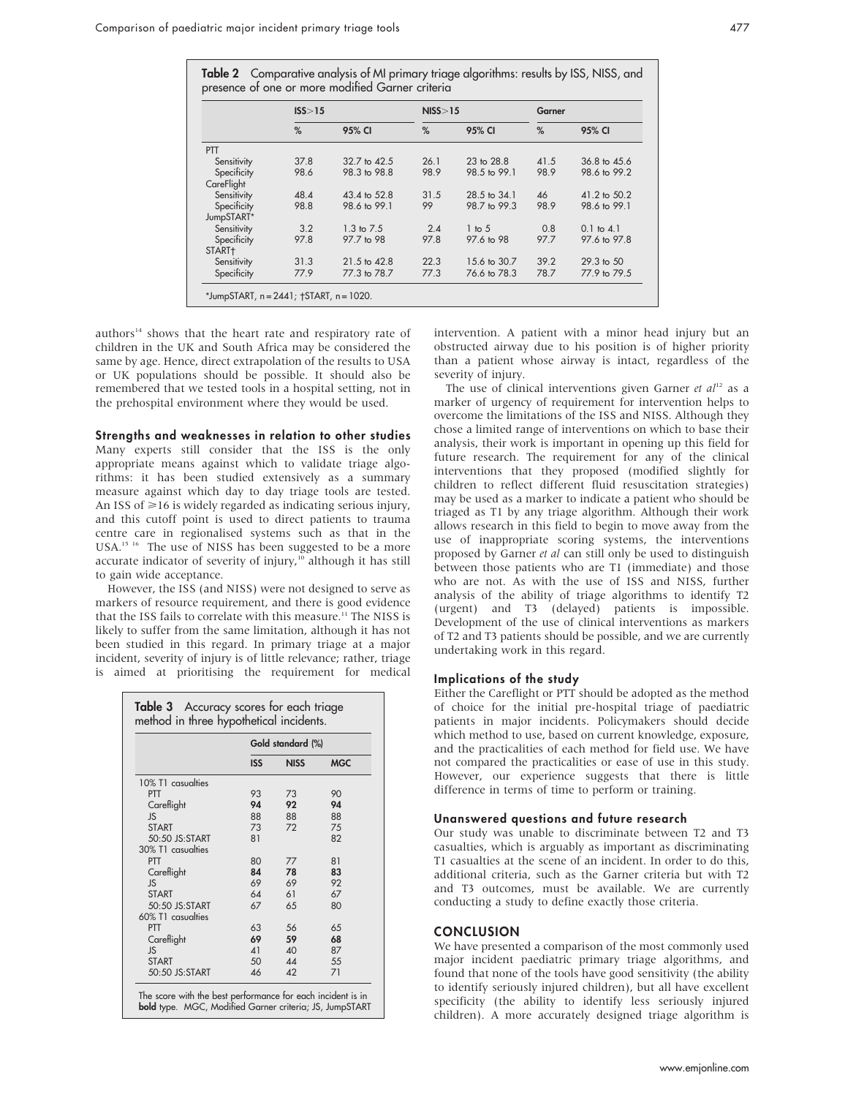|             | ISS>15 |                       | NISS > 15 |              | Garner |                |
|-------------|--------|-----------------------|-----------|--------------|--------|----------------|
|             | %      | 95% CI                | %         | 95% CI       | %      | 95% CI         |
| PTT         |        |                       |           |              |        |                |
| Sensitivity | 37.8   | 32.7 to 42.5          | 26.1      | 23 to 28.8   | 41.5   | 36.8 to 45.6   |
| Specificity | 98.6   | 98.3 to 98.8          | 98.9      | 98.5 to 99.1 | 98.9   | 98.6 to 99.2   |
| CareFlight  |        |                       |           |              |        |                |
| Sensitivity | 48.4   | 43.4 to 52.8          | 31.5      | 28.5 to 34.1 | 46     | 41.2 to 50.2   |
| Specificity | 98.8   | 98.6 to 99.1          | 99        | 98.7 to 99.3 | 98.9   | 98.6 to 99.1   |
| JumpSTART*  |        |                       |           |              |        |                |
| Sensitivity | 3.2    | $1.3 \text{ to } 7.5$ | 2.4       | $1$ to $5$   | 0.8    | $0.1$ to $4.1$ |
| Specificity | 97.8   | 97.7 to 98            | 97.8      | 97.6 to 98   | 97.7   | 97.6 to 97.8   |
| START+      |        |                       |           |              |        |                |
| Sensitivity | 31.3   | $21.5$ to $42.8$      | 22.3      | 15.6 to 30.7 | 39.2   | $29.3$ to $50$ |
| Specificity | 77.9   | 77.3 to 78.7          | 77.3      | 76.6 to 78.3 | 78.7   | 77.9 to 79.5   |

authors<sup>14</sup> shows that the heart rate and respiratory rate of children in the UK and South Africa may be considered the same by age. Hence, direct extrapolation of the results to USA or UK populations should be possible. It should also be remembered that we tested tools in a hospital setting, not in the prehospital environment where they would be used.

Strengths and weaknesses in relation to other studies

Many experts still consider that the ISS is the only appropriate means against which to validate triage algorithms: it has been studied extensively as a summary measure against which day to day triage tools are tested. An ISS of  $\geq 16$  is widely regarded as indicating serious injury, and this cutoff point is used to direct patients to trauma centre care in regionalised systems such as that in the USA.15 16 The use of NISS has been suggested to be a more accurate indicator of severity of injury,<sup>10</sup> although it has still to gain wide acceptance.

However, the ISS (and NISS) were not designed to serve as markers of resource requirement, and there is good evidence that the ISS fails to correlate with this measure.<sup>11</sup> The NISS is likely to suffer from the same limitation, although it has not been studied in this regard. In primary triage at a major incident, severity of injury is of little relevance; rather, triage is aimed at prioritising the requirement for medical

|                   | Gold standard (%) |                |            |  |
|-------------------|-------------------|----------------|------------|--|
|                   | <b>ISS</b>        | <b>NISS</b>    | <b>MGC</b> |  |
| 10% T1 casualties |                   |                |            |  |
| PTT               | 93                | 73             | 90         |  |
| Careflight        | 94                | 92             | 94         |  |
| JS.               | 88                | 88             | 88         |  |
| <b>START</b>      | 73                | 72             | 75         |  |
| 50:50 JS:START    | 81                |                | 82         |  |
| 30% T1 casualties |                   |                |            |  |
| PTT               | 80                | 77             | 81         |  |
| Careflight        | 84                | 78             | 83         |  |
| JS.               | 69                | 69             | 92         |  |
| <b>START</b>      | 64                | 61             | 67         |  |
| 50:50 JS:START    | 67                | 65             | 80         |  |
| 60% T1 casualties |                   |                |            |  |
| PTT               | 63                | 56             | 65         |  |
| Careflight        | 69                | 59             | 68         |  |
| JS.               | $\Delta$ 1        | 40             | 87         |  |
| <b>START</b>      | 50                | $\Delta\Delta$ | 55         |  |
| 50:50 JS:START    | 46                | $\Delta$       | 71         |  |

intervention. A patient with a minor head injury but an obstructed airway due to his position is of higher priority than a patient whose airway is intact, regardless of the severity of injury.

The use of clinical interventions given Garner et  $al^{12}$  as a marker of urgency of requirement for intervention helps to overcome the limitations of the ISS and NISS. Although they chose a limited range of interventions on which to base their analysis, their work is important in opening up this field for future research. The requirement for any of the clinical interventions that they proposed (modified slightly for children to reflect different fluid resuscitation strategies) may be used as a marker to indicate a patient who should be triaged as T1 by any triage algorithm. Although their work allows research in this field to begin to move away from the use of inappropriate scoring systems, the interventions proposed by Garner et al can still only be used to distinguish between those patients who are T1 (immediate) and those who are not. As with the use of ISS and NISS, further analysis of the ability of triage algorithms to identify T2 (urgent) and T3 (delayed) patients is impossible. Development of the use of clinical interventions as markers of T2 and T3 patients should be possible, and we are currently undertaking work in this regard.

## Implications of the study

Either the Careflight or PTT should be adopted as the method of choice for the initial pre-hospital triage of paediatric patients in major incidents. Policymakers should decide which method to use, based on current knowledge, exposure, and the practicalities of each method for field use. We have not compared the practicalities or ease of use in this study. However, our experience suggests that there is little difference in terms of time to perform or training.

# Unanswered questions and future research

Our study was unable to discriminate between T2 and T3 casualties, which is arguably as important as discriminating T1 casualties at the scene of an incident. In order to do this, additional criteria, such as the Garner criteria but with T2 and T3 outcomes, must be available. We are currently conducting a study to define exactly those criteria.

#### **CONCLUSION**

We have presented a comparison of the most commonly used major incident paediatric primary triage algorithms, and found that none of the tools have good sensitivity (the ability to identify seriously injured children), but all have excellent specificity (the ability to identify less seriously injured children). A more accurately designed triage algorithm is